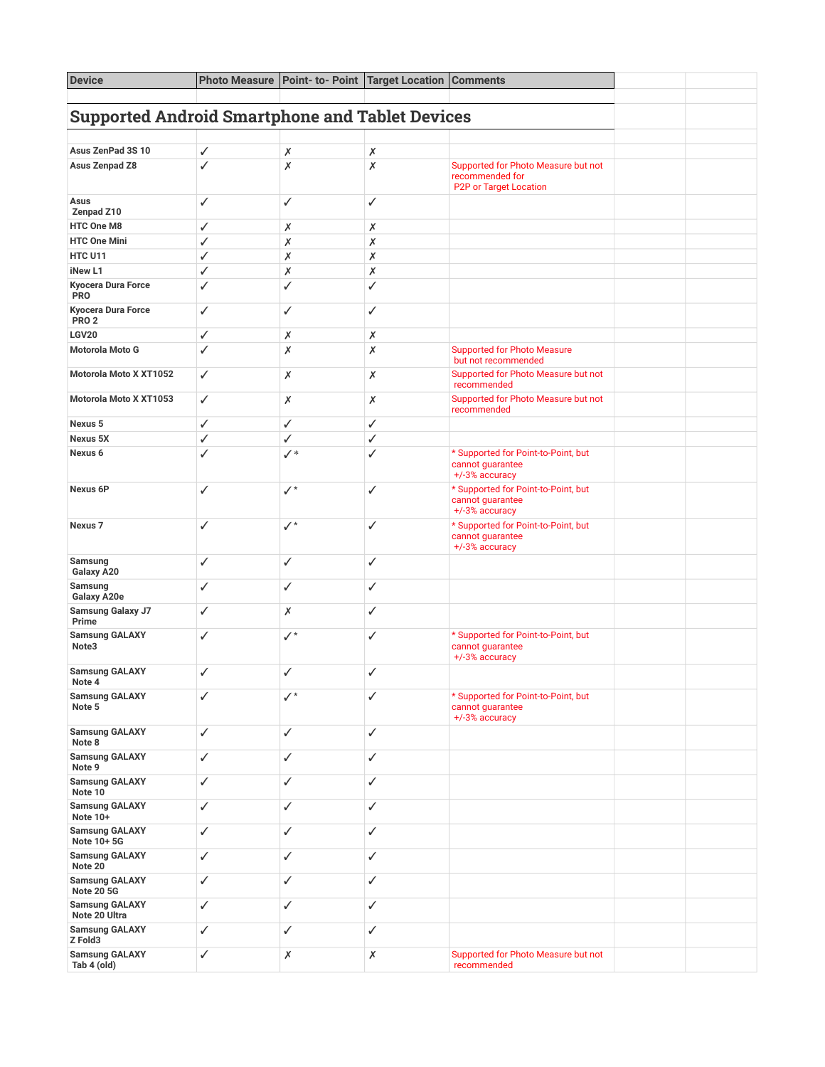| <b>Device</b>                                          |              | Photo Measure   Point- to- Point   Target Location   Comments |              |                                                                                  |  |  |  |
|--------------------------------------------------------|--------------|---------------------------------------------------------------|--------------|----------------------------------------------------------------------------------|--|--|--|
| <b>Supported Android Smartphone and Tablet Devices</b> |              |                                                               |              |                                                                                  |  |  |  |
|                                                        |              |                                                               |              |                                                                                  |  |  |  |
| Asus ZenPad 3S 10                                      | ✓            | Х                                                             | Х            |                                                                                  |  |  |  |
| Asus Zenpad Z8                                         | $\checkmark$ | Х                                                             | Х            | Supported for Photo Measure but not<br>recommended for<br>P2P or Target Location |  |  |  |
| Asus<br>Zenpad Z10                                     | ✓            | ✓                                                             | ✓            |                                                                                  |  |  |  |
| <b>HTC One M8</b>                                      | ✓            | Х                                                             | Х            |                                                                                  |  |  |  |
| <b>HTC One Mini</b>                                    | ✓            | Х                                                             | Х            |                                                                                  |  |  |  |
| <b>HTC U11</b>                                         | ✓            | Х                                                             | Х            |                                                                                  |  |  |  |
| iNew L1                                                | ✓            | Х                                                             | Х            |                                                                                  |  |  |  |
| Kyocera Dura Force<br><b>PRO</b>                       | ✓            | ✓                                                             | ✓            |                                                                                  |  |  |  |
| <b>Kyocera Dura Force</b><br>PRO <sub>2</sub>          | ✓            | ✓                                                             | ✓            |                                                                                  |  |  |  |
| <b>LGV20</b>                                           | ✓            | Х                                                             | Х            |                                                                                  |  |  |  |
| Motorola Moto G                                        | ✓            | x                                                             | Х            | <b>Supported for Photo Measure</b><br>but not recommended                        |  |  |  |
| Motorola Moto X XT1052                                 | ✓            | Х                                                             | Х            | Supported for Photo Measure but not<br>recommended                               |  |  |  |
| Motorola Moto X XT1053                                 | ✓            | Х                                                             | Х            | Supported for Photo Measure but not<br>recommended                               |  |  |  |
| Nexus 5                                                | ✓            | ✓                                                             | ✓            |                                                                                  |  |  |  |
| <b>Nexus 5X</b>                                        | ✓            | ✓                                                             | $\checkmark$ |                                                                                  |  |  |  |
| Nexus 6                                                | ✓            | $\checkmark^*$                                                | ✓            | * Supported for Point-to-Point, but<br>cannot guarantee<br>+/-3% accuracy        |  |  |  |
| <b>Nexus 6P</b>                                        | ✓            | $\checkmark$                                                  | ✓            | * Supported for Point-to-Point, but<br>cannot guarantee<br>+/-3% accuracy        |  |  |  |
| Nexus <sub>7</sub>                                     | ✓            | $\checkmark$                                                  | ✓            | * Supported for Point-to-Point, but<br>cannot guarantee<br>+/-3% accuracy        |  |  |  |
| Samsung<br>Galaxy A20                                  | $\checkmark$ | ✓                                                             | ✓            |                                                                                  |  |  |  |
| Samsung<br>Galaxy A20e                                 | ✓            | ✓                                                             | ✓            |                                                                                  |  |  |  |
| <b>Samsung Galaxy J7</b><br>Prime                      | ✓            | Х                                                             | ✓            |                                                                                  |  |  |  |
| <b>Samsung GALAXY</b><br>Note3                         | ✓            | ✓∗                                                            | ✓            | * Supported for Point-to-Point, but<br>cannot guarantee<br>+/-3% accuracy        |  |  |  |
| <b>Samsung GALAXY</b><br>Note 4                        | ✓            | ✓                                                             | ✓            |                                                                                  |  |  |  |
| <b>Samsung GALAXY</b><br>Note 5                        | ✓            | $\checkmark$                                                  | $\checkmark$ | * Supported for Point-to-Point, but<br>cannot guarantee<br>+/-3% accuracy        |  |  |  |
| <b>Samsung GALAXY</b><br>Note 8                        | ✓            | ✓                                                             | ✓            |                                                                                  |  |  |  |
| <b>Samsung GALAXY</b><br>Note 9                        | ✓            | ✓                                                             | ✓            |                                                                                  |  |  |  |
| <b>Samsung GALAXY</b><br>Note 10                       | ✓            | ✓                                                             | ✓            |                                                                                  |  |  |  |
| <b>Samsung GALAXY</b><br>Note 10+                      | ✓            | ✓                                                             | ✓            |                                                                                  |  |  |  |
| <b>Samsung GALAXY</b><br>Note 10+5G                    | ✓            | ✓                                                             | ✓            |                                                                                  |  |  |  |
| <b>Samsung GALAXY</b><br>Note 20                       | ✓            | ✓                                                             | ✓            |                                                                                  |  |  |  |
| <b>Samsung GALAXY</b><br><b>Note 20 5G</b>             | ✓            | ✓                                                             | ✓            |                                                                                  |  |  |  |
| <b>Samsung GALAXY</b><br>Note 20 Ultra                 | ✓            | ✓                                                             | ✓            |                                                                                  |  |  |  |
| <b>Samsung GALAXY</b><br>Z Fold3                       | ✓            | ✓                                                             | $\checkmark$ |                                                                                  |  |  |  |
| <b>Samsung GALAXY</b><br>Tab 4 (old)                   | ✓            | Х                                                             | Х            | Supported for Photo Measure but not<br>recommended                               |  |  |  |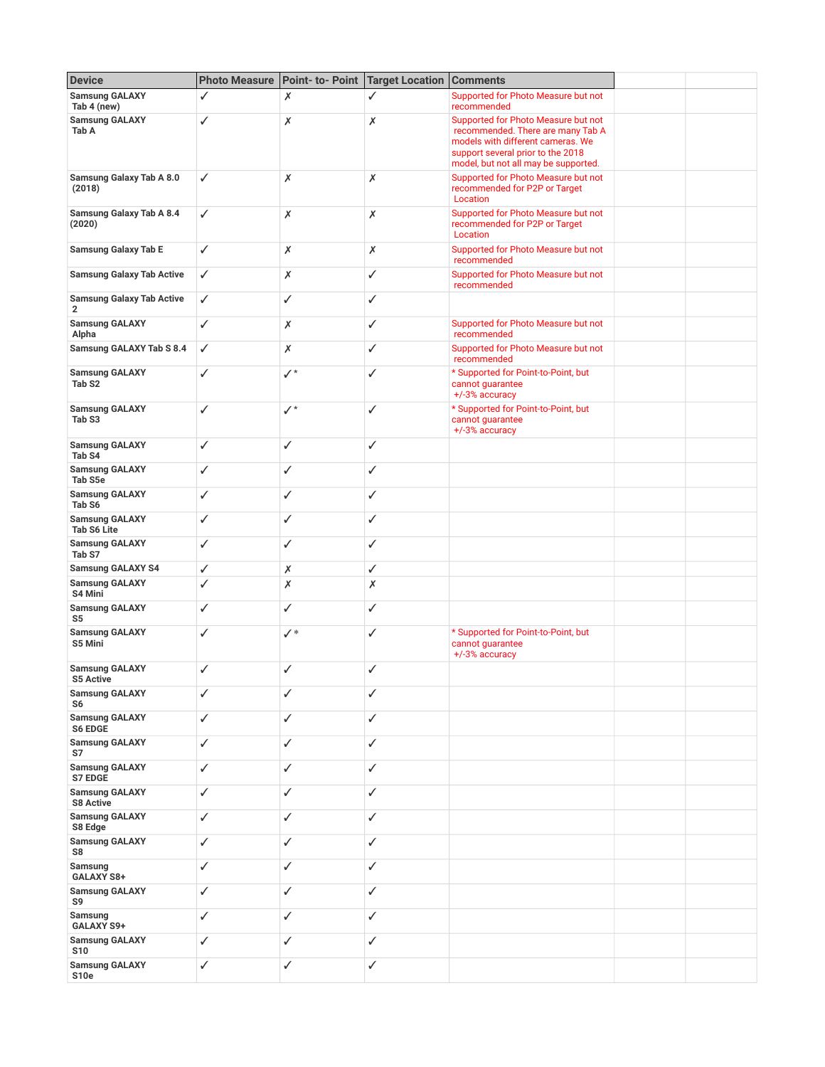| <b>Device</b>                                      |              | Photo Measure   Point- to- Point   Target Location   Comments |                |                                                                                                                                                                                            |  |
|----------------------------------------------------|--------------|---------------------------------------------------------------|----------------|--------------------------------------------------------------------------------------------------------------------------------------------------------------------------------------------|--|
| <b>Samsung GALAXY</b><br>Tab 4 (new)               | ✓            | Х                                                             | ✓              | Supported for Photo Measure but not<br>recommended                                                                                                                                         |  |
| <b>Samsung GALAXY</b><br>Tab A                     | ✓            | Х                                                             | $\pmb{\times}$ | Supported for Photo Measure but not<br>recommended. There are many Tab A<br>models with different cameras. We<br>support several prior to the 2018<br>model, but not all may be supported. |  |
| <b>Samsung Galaxy Tab A 8.0</b><br>(2018)          | ✓            | Х                                                             | Х              | Supported for Photo Measure but not<br>recommended for P2P or Target<br>Location                                                                                                           |  |
| <b>Samsung Galaxy Tab A 8.4</b><br>(2020)          | $\checkmark$ | Х                                                             | Х              | Supported for Photo Measure but not<br>recommended for P2P or Target<br>Location                                                                                                           |  |
| <b>Samsung Galaxy Tab E</b>                        | ✓            | X                                                             | Х              | Supported for Photo Measure but not<br>recommended                                                                                                                                         |  |
| <b>Samsung Galaxy Tab Active</b>                   | ✓            | X                                                             | ✓              | Supported for Photo Measure but not<br>recommended                                                                                                                                         |  |
| <b>Samsung Galaxy Tab Active</b><br>$\overline{2}$ | ✓            | ✓                                                             | ✓              |                                                                                                                                                                                            |  |
| <b>Samsung GALAXY</b><br>Alpha                     | ✓            | Х                                                             | ✓              | Supported for Photo Measure but not<br>recommended                                                                                                                                         |  |
| Samsung GALAXY Tab S 8.4                           | ✓            | Х                                                             | ✓              | Supported for Photo Measure but not<br>recommended                                                                                                                                         |  |
| <b>Samsung GALAXY</b><br>Tab <sub>S2</sub>         | ✓            | ✓*                                                            | $\checkmark$   | * Supported for Point-to-Point, but<br>cannot guarantee<br>+/-3% accuracy                                                                                                                  |  |
| <b>Samsung GALAXY</b><br>Tab <sub>S3</sub>         | ✓            | ✓*                                                            | ✓              | * Supported for Point-to-Point, but<br>cannot guarantee<br>+/-3% accuracy                                                                                                                  |  |
| <b>Samsung GALAXY</b><br>Tab <sub>S4</sub>         | ✓            | ✓                                                             | ✓              |                                                                                                                                                                                            |  |
| <b>Samsung GALAXY</b><br>Tab S5e                   | ✓            | ✓                                                             | $\checkmark$   |                                                                                                                                                                                            |  |
| <b>Samsung GALAXY</b><br>Tab <sub>S6</sub>         | ✓            | ✓                                                             | $\checkmark$   |                                                                                                                                                                                            |  |
| <b>Samsung GALAXY</b><br><b>Tab S6 Lite</b>        | ✓            | ✓                                                             | $\checkmark$   |                                                                                                                                                                                            |  |
| <b>Samsung GALAXY</b><br>Tab <sub>S7</sub>         | ✓            | ✓                                                             | $\checkmark$   |                                                                                                                                                                                            |  |
| <b>Samsung GALAXY S4</b>                           | $\checkmark$ | Х                                                             | $\checkmark$   |                                                                                                                                                                                            |  |
| <b>Samsung GALAXY</b><br>S4 Mini                   | $\checkmark$ | Х                                                             | $\times$       |                                                                                                                                                                                            |  |
| <b>Samsung GALAXY</b><br>S5                        | ✓            | ✓                                                             | $\checkmark$   |                                                                                                                                                                                            |  |
| <b>Samsung GALAXY</b><br>S5 Mini                   | ✓            | $\checkmark$                                                  | $\checkmark$   | * Supported for Point-to-Point, but<br>cannot guarantee<br>+/-3% accuracy                                                                                                                  |  |
| <b>Samsung GALAXY</b><br><b>S5 Active</b>          | ✓            | ✓                                                             | ✓              |                                                                                                                                                                                            |  |
| <b>Samsung GALAXY</b><br>S6                        | ✓            | ✓                                                             | ✓              |                                                                                                                                                                                            |  |
| <b>Samsung GALAXY</b><br><b>S6 EDGE</b>            | ✓            | ✓                                                             | ✓              |                                                                                                                                                                                            |  |
| <b>Samsung GALAXY</b><br>S7                        | ✓            | ✓                                                             | ✓              |                                                                                                                                                                                            |  |
| <b>Samsung GALAXY</b><br>S7 EDGE                   | ✓            | ✓                                                             | ✓              |                                                                                                                                                                                            |  |
| <b>Samsung GALAXY</b><br>S8 Active                 | ✓            | ✓                                                             | ✓              |                                                                                                                                                                                            |  |
| <b>Samsung GALAXY</b><br>S8 Edge                   | ✓            | ✓                                                             | ✓              |                                                                                                                                                                                            |  |
| <b>Samsung GALAXY</b><br>S8                        | ✓            | ✓                                                             | ✓              |                                                                                                                                                                                            |  |
| Samsung<br>GALAXY S8+                              | ✓            | ✓                                                             | ✓              |                                                                                                                                                                                            |  |
| <b>Samsung GALAXY</b><br>S9                        | ✓            | ✓                                                             | ✓              |                                                                                                                                                                                            |  |
| Samsung<br>GALAXY S9+                              | ✓            | ✓                                                             | $\checkmark$   |                                                                                                                                                                                            |  |
| <b>Samsung GALAXY</b><br><b>S10</b>                | $\checkmark$ | ✓                                                             | ✓              |                                                                                                                                                                                            |  |
| <b>Samsung GALAXY</b><br><b>S10e</b>               | ✓            | ✓                                                             | ✓              |                                                                                                                                                                                            |  |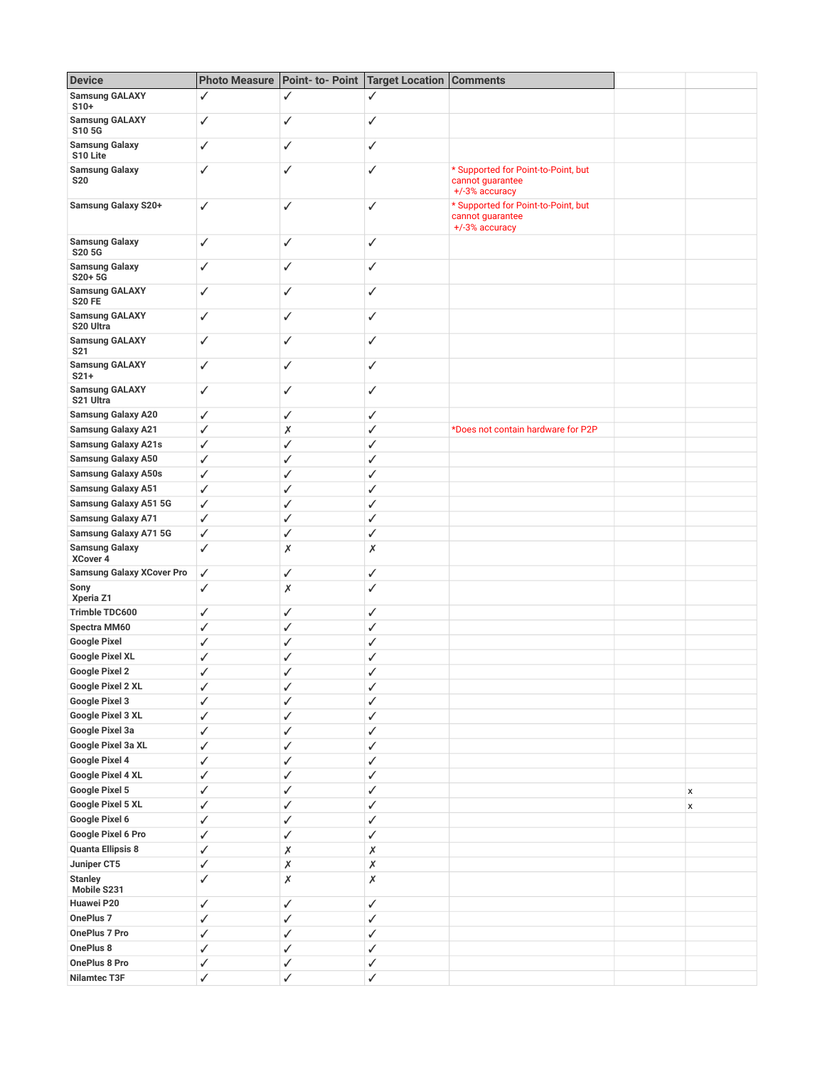| <b>Device</b>                                  |              | Photo Measure   Point- to- Point | <b>Target Location Comments</b> |                                                                           |   |
|------------------------------------------------|--------------|----------------------------------|---------------------------------|---------------------------------------------------------------------------|---|
| <b>Samsung GALAXY</b><br>$S10+$                | ✓            | ✓                                | ✓                               |                                                                           |   |
| <b>Samsung GALAXY</b><br>S105G                 | $\checkmark$ | ✓                                | $\checkmark$                    |                                                                           |   |
| <b>Samsung Galaxy</b><br>S10 Lite              | $\checkmark$ | ✓                                | ✓                               |                                                                           |   |
| <b>Samsung Galaxy</b><br><b>S20</b>            | ✓            | ✓                                | ✓                               | * Supported for Point-to-Point, but<br>cannot guarantee<br>+/-3% accuracy |   |
| Samsung Galaxy S20+                            | ✓            | ✓                                | ✓                               | * Supported for Point-to-Point, but<br>cannot guarantee<br>+/-3% accuracy |   |
| <b>Samsung Galaxy</b><br>S20 5G                | ✓            | ✓                                | ✓                               |                                                                           |   |
| <b>Samsung Galaxy</b><br>S20+5G                | ✓            | ✓                                | $\checkmark$                    |                                                                           |   |
| <b>Samsung GALAXY</b><br><b>S20 FE</b>         | ✓            | ✓                                | ✓                               |                                                                           |   |
| <b>Samsung GALAXY</b><br>S <sub>20</sub> Ultra | ✓            | ✓                                | ✓                               |                                                                           |   |
| <b>Samsung GALAXY</b><br>S <sub>21</sub>       | ✓            | ✓                                | ✓                               |                                                                           |   |
| <b>Samsung GALAXY</b><br>$S21+$                | $\checkmark$ | ✓                                | $\checkmark$                    |                                                                           |   |
| <b>Samsung GALAXY</b><br>S21 Ultra             | $\checkmark$ | ✓                                | $\checkmark$                    |                                                                           |   |
| <b>Samsung Galaxy A20</b>                      | $\checkmark$ | $\checkmark$                     | ✓                               |                                                                           |   |
| <b>Samsung Galaxy A21</b>                      | ✓            | Х                                | ✓                               | *Does not contain hardware for P2P                                        |   |
| <b>Samsung Galaxy A21s</b>                     | ✓            | ✓                                | ✓                               |                                                                           |   |
| <b>Samsung Galaxy A50</b>                      | ✓            | ✓                                | ✓                               |                                                                           |   |
| <b>Samsung Galaxy A50s</b>                     | ✓            | ✓                                | ✓                               |                                                                           |   |
| <b>Samsung Galaxy A51</b>                      | ✓            | ✓                                | ✓                               |                                                                           |   |
| <b>Samsung Galaxy A51 5G</b>                   | ✓            | ✓                                | ✓                               |                                                                           |   |
| <b>Samsung Galaxy A71</b>                      | ✓            | ✓                                | ✓                               |                                                                           |   |
| Samsung Galaxy A71 5G                          | $\checkmark$ | ✓                                | ✓                               |                                                                           |   |
| <b>Samsung Galaxy</b><br>XCover 4              | ✓            | Х                                | Х                               |                                                                           |   |
| <b>Samsung Galaxy XCover Pro</b>               | ✓            | $\checkmark$                     | ✓                               |                                                                           |   |
| Sony<br>Xperia Z1                              | $\checkmark$ | Х                                | ✓                               |                                                                           |   |
| <b>Trimble TDC600</b>                          | ✓            | ✓                                | ✓                               |                                                                           |   |
| Spectra MM60                                   | ✓            | ✓                                | ✓                               |                                                                           |   |
| <b>Google Pixel</b>                            | ✓            | ✓                                | ✓                               |                                                                           |   |
| <b>Google Pixel XL</b>                         | ✓            | ✓                                | ✓                               |                                                                           |   |
| <b>Google Pixel 2</b>                          | ✓            | ℐ                                | ✓                               |                                                                           |   |
| Google Pixel 2 XL                              | ✓            | ✓                                | ✓                               |                                                                           |   |
| Google Pixel 3                                 | $\checkmark$ | ✓                                | ✓                               |                                                                           |   |
| Google Pixel 3 XL                              | ✓            | ✓                                | $\checkmark$                    |                                                                           |   |
| Google Pixel 3a                                | $\checkmark$ | ✓                                | ✓                               |                                                                           |   |
| Google Pixel 3a XL                             | $\checkmark$ | ✓                                | ✓                               |                                                                           |   |
| Google Pixel 4                                 | ✓            | ✓                                | ✓                               |                                                                           |   |
| Google Pixel 4 XL                              | ✓            | ✓                                | ✓                               |                                                                           |   |
| Google Pixel 5                                 | ✓            | ✓                                | $\checkmark$                    |                                                                           | x |
| Google Pixel 5 XL                              | ✓            | ✓                                | ✓                               |                                                                           | x |
| Google Pixel 6                                 | ✓            | $\checkmark$                     | ✓                               |                                                                           |   |
| Google Pixel 6 Pro                             | $\checkmark$ | $\checkmark$                     | $\checkmark$                    |                                                                           |   |
| <b>Quanta Ellipsis 8</b>                       | ✓            | Х                                | $\pmb{\times}$                  |                                                                           |   |
| Juniper CT5                                    | ✓            | Х                                | $\boldsymbol{x}$                |                                                                           |   |
| <b>Stanley</b><br>Mobile S231                  | ✓            | Х                                | $\pmb{\times}$                  |                                                                           |   |
| Huawei P20                                     | $\checkmark$ | $\checkmark$                     | ✓                               |                                                                           |   |
| OnePlus <sub>7</sub>                           | $\checkmark$ | ✓                                | $\checkmark$                    |                                                                           |   |
| OnePlus 7 Pro                                  | $\checkmark$ | ✓                                | $\checkmark$                    |                                                                           |   |
| OnePlus 8                                      | ✓            | ✓                                | ✓                               |                                                                           |   |
| OnePlus 8 Pro                                  | ✓            | ✓                                | ✓                               |                                                                           |   |
| <b>Nilamtec T3F</b>                            | $\checkmark$ |                                  |                                 |                                                                           |   |
|                                                |              | ✓                                | $\checkmark$                    |                                                                           |   |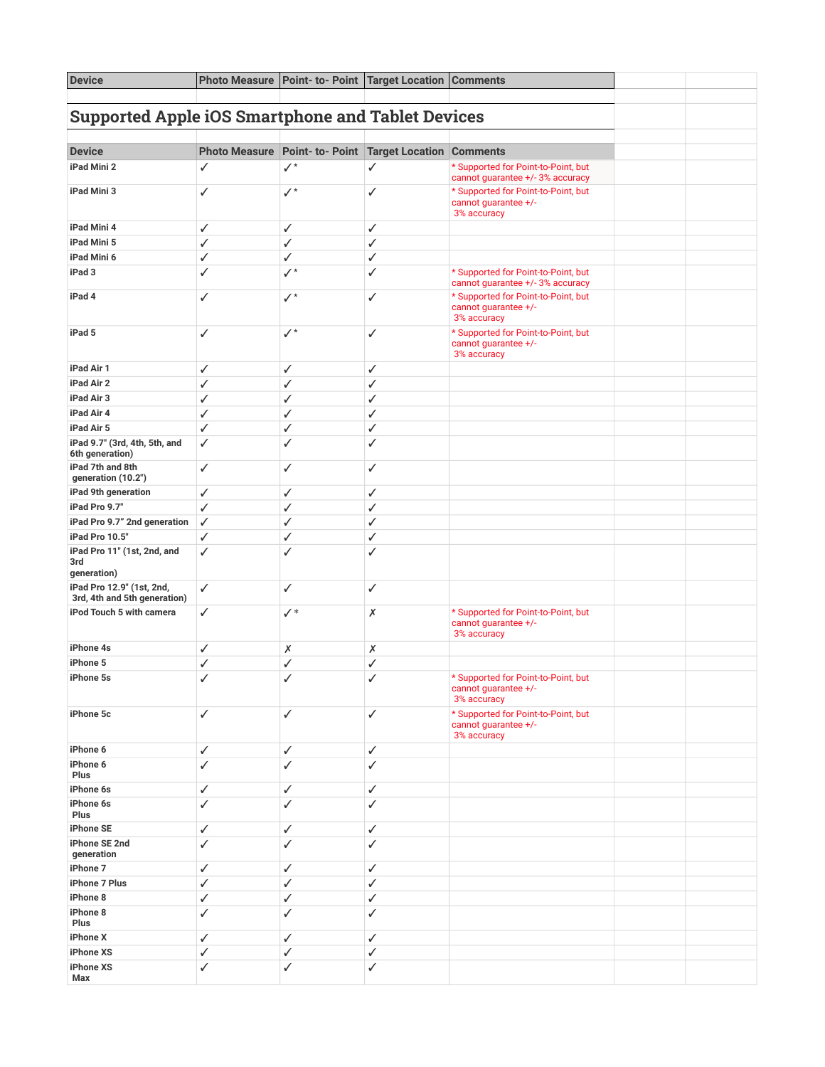| <b>Device</b>                                             | <b>Photo Measure</b> | Point- to- Point Target Location                        |   | <b>Comments</b>                                                            |  |  |
|-----------------------------------------------------------|----------------------|---------------------------------------------------------|---|----------------------------------------------------------------------------|--|--|
| <b>Supported Apple iOS Smartphone and Tablet Devices</b>  |                      |                                                         |   |                                                                            |  |  |
|                                                           |                      |                                                         |   |                                                                            |  |  |
| <b>Device</b>                                             |                      | Photo Measure Point- to- Point Target Location Comments |   |                                                                            |  |  |
| iPad Mini 2                                               | ✓                    | $\checkmark$                                            | ✓ | * Supported for Point-to-Point, but<br>cannot guarantee +/-3% accuracy     |  |  |
| iPad Mini 3                                               | ✓                    | $\checkmark$                                            | ✓ | * Supported for Point-to-Point, but<br>cannot guarantee +/-<br>3% accuracy |  |  |
| iPad Mini 4                                               | ✓                    | ✓                                                       | ✓ |                                                                            |  |  |
| iPad Mini 5                                               | ✓                    | $\checkmark$                                            | ✓ |                                                                            |  |  |
| iPad Mini 6                                               | ✓                    | ✓                                                       | ✓ |                                                                            |  |  |
| iPad 3                                                    | ✓                    | $\checkmark$                                            | ✓ | * Supported for Point-to-Point, but<br>cannot guarantee +/-3% accuracy     |  |  |
| iPad 4                                                    | ✓                    | $\checkmark$                                            | ✓ | * Supported for Point-to-Point, but<br>cannot guarantee +/-<br>3% accuracy |  |  |
| iPad 5                                                    | ✓                    | $\checkmark$                                            | ✓ | * Supported for Point-to-Point, but<br>cannot guarantee +/-<br>3% accuracy |  |  |
| iPad Air 1                                                | ✓                    | ✓                                                       | ✓ |                                                                            |  |  |
| iPad Air 2                                                | ✓                    | ✓                                                       | ✓ |                                                                            |  |  |
| iPad Air 3                                                | ✓                    | ✓                                                       | ✓ |                                                                            |  |  |
| iPad Air 4                                                | ✓                    | ✓                                                       | ✓ |                                                                            |  |  |
| iPad Air 5                                                | ✓                    | ✓                                                       | ✓ |                                                                            |  |  |
| iPad 9.7" (3rd, 4th, 5th, and<br>6th generation)          | ✓                    | ✓                                                       | ✓ |                                                                            |  |  |
| iPad 7th and 8th<br>generation (10.2")                    | ✓                    | ✓                                                       | ✓ |                                                                            |  |  |
| iPad 9th generation                                       | ✓                    | ✓                                                       | ✓ |                                                                            |  |  |
| iPad Pro 9.7"                                             | ✓                    | ✓                                                       | ✓ |                                                                            |  |  |
| iPad Pro 9.7" 2nd generation                              | ✓                    | ✓                                                       | ✓ |                                                                            |  |  |
| iPad Pro 10.5"                                            | ✓                    | $\checkmark$                                            | ✓ |                                                                            |  |  |
| iPad Pro 11" (1st, 2nd, and<br>3rd<br>generation)         | ✓                    | ✓                                                       | ✓ |                                                                            |  |  |
| iPad Pro 12.9" (1st, 2nd,<br>3rd, 4th and 5th generation) | ✓                    | ✓                                                       | ✓ |                                                                            |  |  |
| iPod Touch 5 with camera                                  | ✓                    | $\checkmark^*$                                          | Х | * Supported for Point-to-Point, but<br>cannot guarantee +/-<br>3% accuracy |  |  |
| iPhone 4s                                                 | ✓                    | Х                                                       | х |                                                                            |  |  |
| iPhone 5                                                  | ✓                    | ✓                                                       | ✓ |                                                                            |  |  |
| iPhone 5s                                                 | ✓                    | ✓                                                       | ✓ | * Supported for Point-to-Point, but<br>cannot guarantee +/-<br>3% accuracy |  |  |
| iPhone 5c                                                 | ✓                    | ✓                                                       | ✓ | * Supported for Point-to-Point, but<br>cannot guarantee +/-<br>3% accuracy |  |  |
| iPhone 6                                                  | ✓                    | ✓                                                       | ✓ |                                                                            |  |  |
| iPhone 6<br>Plus                                          | ✓                    | ✓                                                       | ✓ |                                                                            |  |  |
| iPhone 6s                                                 | ✓                    | ✓                                                       | ✓ |                                                                            |  |  |
| iPhone 6s<br>Plus                                         | ✓                    | ✓                                                       | ✓ |                                                                            |  |  |
| iPhone SE                                                 | ✓                    | ✓                                                       | ✓ |                                                                            |  |  |
| iPhone SE 2nd<br>generation                               | ✓                    | ✓                                                       | ✓ |                                                                            |  |  |
| iPhone 7                                                  | ✓                    | ✓                                                       | ✓ |                                                                            |  |  |
| iPhone 7 Plus                                             | ✓                    | ✓                                                       | ✓ |                                                                            |  |  |
| iPhone 8                                                  | ✓                    | ✓                                                       | ✓ |                                                                            |  |  |
| iPhone 8<br>Plus                                          | ✓                    | $\checkmark$                                            | ✓ |                                                                            |  |  |
| iPhone X                                                  | ✓                    | ✓                                                       | ✓ |                                                                            |  |  |
| iPhone XS                                                 | ✓                    | ✓                                                       | ✓ |                                                                            |  |  |
| iPhone XS<br>Max                                          | ✓                    | $\checkmark$                                            | ✓ |                                                                            |  |  |